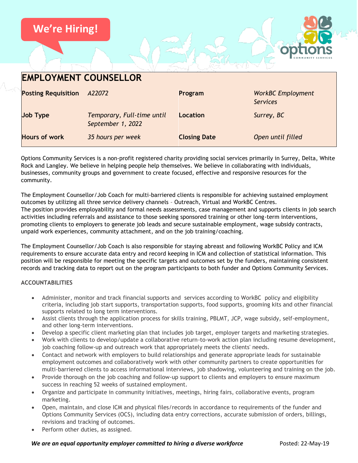

| <b>EMPLOYMENT COUNSELLOR</b> |                                                 |                     |                                             |
|------------------------------|-------------------------------------------------|---------------------|---------------------------------------------|
| <b>Posting Requisition</b>   | A22072                                          | Program             | <b>WorkBC Employment</b><br><b>Services</b> |
| <b>Job Type</b>              | Temporary, Full-time until<br>September 1, 2022 | Location            | Surrey, BC                                  |
| <b>Hours of work</b>         | 35 hours per week                               | <b>Closing Date</b> | Open until filled                           |

Options Community Services is a non-profit registered charity providing social services primarily in Surrey, Delta, White Rock and Langley. We believe in helping people help themselves. We believe in collaborating with individuals, businesses, community groups and government to create focused, effective and responsive resources for the community.

The Employment Counsellor/Job Coach for multi-barriered clients is responsible for achieving sustained employment outcomes by utilizing all three service delivery channels – Outreach, Virtual and WorkBC Centres. The position provides employability and formal needs assessments, case management and supports clients in job search activities including referrals and assistance to those seeking sponsored training or other long-term interventions, promoting clients to employers to generate job leads and secure sustainable employment, wage subsidy contracts, unpaid work experiences, community attachment, and on the job training/coaching.

The Employment Counsellor/Job Coach is also responsible for staying abreast and following WorkBC Policy and ICM requirements to ensure accurate data entry and record keeping in ICM and collection of statistical information. This position will be responsible for meeting the specific targets and outcomes set by the funders, maintaining consistent records and tracking data to report out on the program participants to both funder and Options Community Services.

## **ACCOUNTABILITIES**

- Administer, monitor and track financial supports and services according to WorkBC policy and eligibility criteria, including job start supports, transportation supports, food supports, grooming kits and other financial supports related to long term interventions.
- Assist clients through the application process for skills training, PBLMT, JCP, wage subsidy, self-employment, and other long-term interventions.
- Develop a specific client marketing plan that includes job target, employer targets and marketing strategies.
- Work with clients to develop/update a collaborative return-to-work action plan including resume development, job coaching follow-up and outreach work that appropriately meets the clients' needs.
- Contact and network with employers to build relationships and generate appropriate leads for sustainable employment outcomes and collaboratively work with other community partners to create opportunities for multi-barriered clients to access informational interviews, job shadowing, volunteering and training on the job.
- Provide thorough on the job coaching and follow-up support to clients and employers to ensure maximum success in reaching 52 weeks of sustained employment.
- Organize and participate in community initiatives, meetings, hiring fairs, collaborative events, program marketing.
- Open, maintain, and close ICM and physical files/records in accordance to requirements of the funder and Options Community Services (OCS), including data entry corrections, accurate submission of orders, billings, revisions and tracking of outcomes.
- Perform other duties, as assigned.